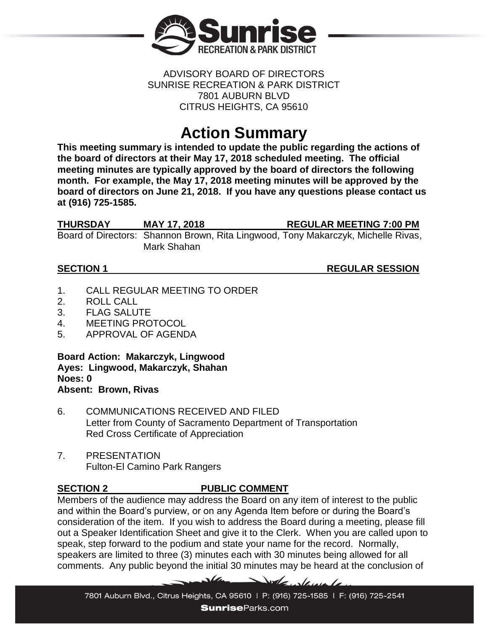

### ADVISORY BOARD OF DIRECTORS SUNRISE RECREATION & PARK DISTRICT 7801 AUBURN BLVD CITRUS HEIGHTS, CA 95610

# **Action Summary**

**This meeting summary is intended to update the public regarding the actions of the board of directors at their May 17, 2018 scheduled meeting. The official meeting minutes are typically approved by the board of directors the following month. For example, the May 17, 2018 meeting minutes will be approved by the board of directors on June 21, 2018. If you have any questions please contact us at (916) 725-1585.**

| THURSDAY | <b>MAY 17, 2018</b> | <b>REGULAR MEETING 7:00 PM</b>                                                    |
|----------|---------------------|-----------------------------------------------------------------------------------|
|          |                     | Board of Directors: Shannon Brown, Rita Lingwood, Tony Makarczyk, Michelle Rivas, |
|          | Mark Shahan         |                                                                                   |

**SECTION 1** REGULAR SESSION

- 1. CALL REGULAR MEETING TO ORDER
- 2. ROLL CALL
- 3. FLAG SALUTE
- 4. MEETING PROTOCOL
- 5. APPROVAL OF AGENDA

**Board Action: Makarczyk, Lingwood Ayes: Lingwood, Makarczyk, Shahan Noes: 0 Absent: Brown, Rivas**

6. COMMUNICATIONS RECEIVED AND FILED Letter from County of Sacramento Department of Transportation Red Cross Certificate of Appreciation

 $\sqrt{4}$ 

7. PRESENTATION Fulton-El Camino Park Rangers

# **SECTION 2 PUBLIC COMMENT**

Members of the audience may address the Board on any item of interest to the public and within the Board's purview, or on any Agenda Item before or during the Board's consideration of the item. If you wish to address the Board during a meeting, please fill out a Speaker Identification Sheet and give it to the Clerk. When you are called upon to speak, step forward to the podium and state your name for the record. Normally, speakers are limited to three (3) minutes each with 30 minutes being allowed for all comments. Any public beyond the initial 30 minutes may be heard at the conclusion of

Dole Jamela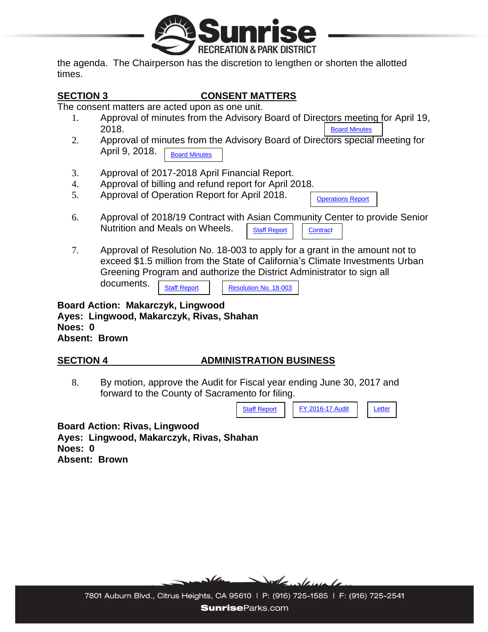

the agenda. The Chairperson has the discretion to lengthen or shorten the allotted times.

### **SECTION 3 CONSENT MATTERS**

The consent matters are acted upon as one unit.

- 1. Approval of minutes from the Advisory Board of Directors meeting for April 19, 2018. [Board Minutes](https://www.sunriseparks.com/files/92ec91595/Minutes+4-19-18.pdf)
- 2. Approval of minutes from the Advisory Board of Directors special meeting for April 9, 2018. [Board Minutes](https://www.sunriseparks.com/files/0cf758dc9/Minutes+4-9-18.pdf)
- 3. Approval of 2017-2018 April Financial Report.
- 4. Approval of billing and refund report for April 2018.
- 5. Approval of Operation Report for April 2018.

[Operations Report](https://www.sunriseparks.com/files/181035061/Operations+Report+April+2018..pdf)

- 6. Approval of 2018/19 Contract with Asian Community Center to provide Senior Nutrition and Meals on Wheels. [Staff Report](https://www.sunriseparks.com/files/700dbe9b9/Board+Report+05-17+Asian+Community+Center.pdf) | [Contract](https://www.sunriseparks.com/files/0c2f2bf4f/Sunrise+District-Rusch+Park+2018-2019.pdf)
- 7. Approval of Resolution No. 18-003 to apply for a grant in the amount not to exceed \$1.5 million from the State of California's Climate Investments Urban Greening Program and authorize the District Administrator to sign all documents. [Staff Report](https://www.sunriseparks.com/files/88a49d4d2/2018+Urban+Greening+Project+Cabana+Park.pdf) | [Resolution No. 18-003](https://www.sunriseparks.com/files/e838c8cf5/Resolution+No.+18-003.pdf)

**Board Action: Makarczyk, Lingwood Ayes: Lingwood, Makarczyk, Rivas, Shahan Noes: 0 Absent: Brown**

# **SECTION 4 ADMINISTRATION BUSINESS**

8. By motion, approve the Audit for Fiscal year ending June 30, 2017 and forward to the County of Sacramento for filing.



**Board Action: Rivas, Lingwood Ayes: Lingwood, Makarczyk, Rivas, Shahan Noes: 0 Absent: Brown**